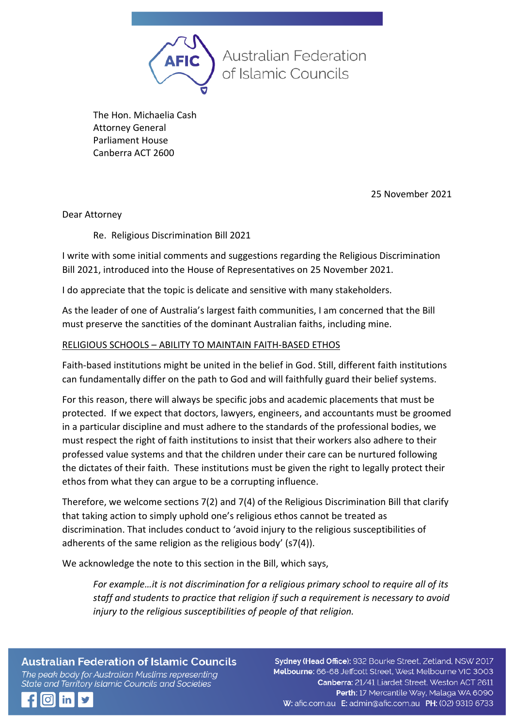

The Hon. Michaelia Cash Attorney General Parliament House Canberra ACT 2600

25 November 2021

Dear Attorney

Re. Religious Discrimination Bill 2021

I write with some initial comments and suggestions regarding the Religious Discrimination Bill 2021, introduced into the House of Representatives on 25 November 2021.

I do appreciate that the topic is delicate and sensitive with many stakeholders.

As the leader of one of Australia's largest faith communities, I am concerned that the Bill must preserve the sanctities of the dominant Australian faiths, including mine.

### RELIGIOUS SCHOOLS – ABILITY TO MAINTAIN FAITH-BASED ETHOS

Faith-based institutions might be united in the belief in God. Still, different faith institutions can fundamentally differ on the path to God and will faithfully guard their belief systems.

For this reason, there will always be specific jobs and academic placements that must be protected. If we expect that doctors, lawyers, engineers, and accountants must be groomed in a particular discipline and must adhere to the standards of the professional bodies, we must respect the right of faith institutions to insist that their workers also adhere to their professed value systems and that the children under their care can be nurtured following the dictates of their faith. These institutions must be given the right to legally protect their ethos from what they can argue to be a corrupting influence.

Therefore, we welcome sections 7(2) and 7(4) of the Religious Discrimination Bill that clarify that taking action to simply uphold one's religious ethos cannot be treated as discrimination. That includes conduct to 'avoid injury to the religious susceptibilities of adherents of the same religion as the religious body' (s7(4)).

We acknowledge the note to this section in the Bill, which says,

*For example…it is not discrimination for a religious primary school to require all of its staff and students to practice that religion if such a requirement is necessary to avoid injury to the religious susceptibilities of people of that religion.*

**Australian Federation of Islamic Councils** The peak body for Australian Muslims representing State and Territory Islamic Councils and Societies

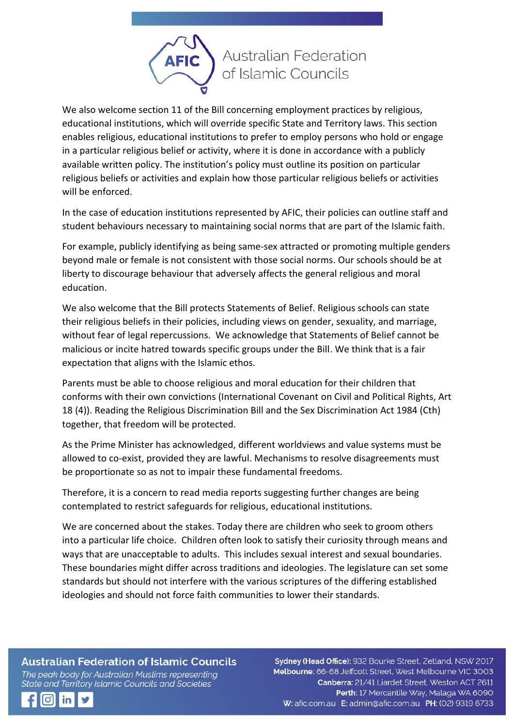

We also welcome section 11 of the Bill concerning employment practices by religious, educational institutions, which will override specific State and Territory laws. This section enables religious, educational institutions to prefer to employ persons who hold or engage in a particular religious belief or activity, where it is done in accordance with a publicly available written policy. The institution's policy must outline its position on particular religious beliefs or activities and explain how those particular religious beliefs or activities will be enforced.

In the case of education institutions represented by AFIC, their policies can outline staff and student behaviours necessary to maintaining social norms that are part of the Islamic faith.

For example, publicly identifying as being same-sex attracted or promoting multiple genders beyond male or female is not consistent with those social norms. Our schools should be at liberty to discourage behaviour that adversely affects the general religious and moral education.

We also welcome that the Bill protects Statements of Belief. Religious schools can state their religious beliefs in their policies, including views on gender, sexuality, and marriage, without fear of legal repercussions. We acknowledge that Statements of Belief cannot be malicious or incite hatred towards specific groups under the Bill. We think that is a fair expectation that aligns with the Islamic ethos.

Parents must be able to choose religious and moral education for their children that conforms with their own convictions (International Covenant on Civil and Political Rights, Art 18 (4)). Reading the Religious Discrimination Bill and the Sex Discrimination Act 1984 (Cth) together, that freedom will be protected.

As the Prime Minister has acknowledged, different worldviews and value systems must be allowed to co-exist, provided they are lawful. Mechanisms to resolve disagreements must be proportionate so as not to impair these fundamental freedoms.

Therefore, it is a concern to read media reports suggesting further changes are being contemplated to restrict safeguards for religious, educational institutions.

We are concerned about the stakes. Today there are children who seek to groom others into a particular life choice. Children often look to satisfy their curiosity through means and ways that are unacceptable to adults. This includes sexual interest and sexual boundaries. These boundaries might differ across traditions and ideologies. The legislature can set some standards but should not interfere with the various scriptures of the differing established ideologies and should not force faith communities to lower their standards.

# **Australian Federation of Islamic Councils**

The peak body for Australian Muslims representing State and Territory Islamic Councils and Societies

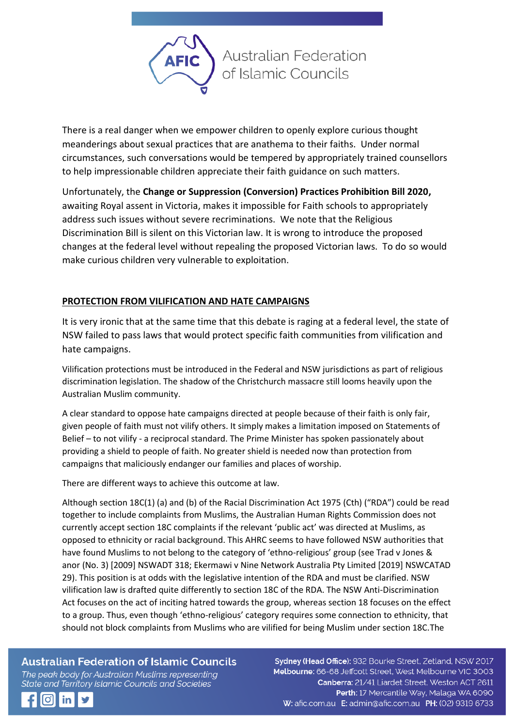

There is a real danger when we empower children to openly explore curious thought meanderings about sexual practices that are anathema to their faiths. Under normal circumstances, such conversations would be tempered by appropriately trained counsellors to help impressionable children appreciate their faith guidance on such matters.

Unfortunately, the **Change or Suppression (Conversion) Practices Prohibition Bill 2020,** awaiting Royal assent in Victoria, makes it impossible for Faith schools to appropriately address such issues without severe recriminations. We note that the Religious Discrimination Bill is silent on this Victorian law. It is wrong to introduce the proposed changes at the federal level without repealing the proposed Victorian laws. To do so would make curious children very vulnerable to exploitation.

### **PROTECTION FROM VILIFICATION AND HATE CAMPAIGNS**

It is very ironic that at the same time that this debate is raging at a federal level, the state of NSW failed to pass laws that would protect specific faith communities from vilification and hate campaigns.

Vilification protections must be introduced in the Federal and NSW jurisdictions as part of religious discrimination legislation. The shadow of the Christchurch massacre still looms heavily upon the Australian Muslim community.

A clear standard to oppose hate campaigns directed at people because of their faith is only fair, given people of faith must not vilify others. It simply makes a limitation imposed on Statements of Belief – to not vilify - a reciprocal standard. The Prime Minister has spoken passionately about providing a shield to people of faith. No greater shield is needed now than protection from campaigns that maliciously endanger our families and places of worship.

There are different ways to achieve this outcome at law.

Although section 18C(1) (a) and (b) of the Racial Discrimination Act 1975 (Cth) ("RDA") could be read together to include complaints from Muslims, the Australian Human Rights Commission does not currently accept section 18C complaints if the relevant 'public act' was directed at Muslims, as opposed to ethnicity or racial background. This AHRC seems to have followed NSW authorities that have found Muslims to not belong to the category of 'ethno-religious' group (see Trad v Jones & anor (No. 3) [2009] NSWADT 318; Ekermawi v Nine Network Australia Pty Limited [2019] NSWCATAD 29). This position is at odds with the legislative intention of the RDA and must be clarified. NSW vilification law is drafted quite differently to section 18C of the RDA. The NSW Anti-Discrimination Act focuses on the act of inciting hatred towards the group, whereas section 18 focuses on the effect to a group. Thus, even though 'ethno-religious' category requires some connection to ethnicity, that should not block complaints from Muslims who are vilified for being Muslim under section 18C.The

**Australian Federation of Islamic Councils** 

The peak body for Australian Muslims representing State and Territory Islamic Councils and Societies